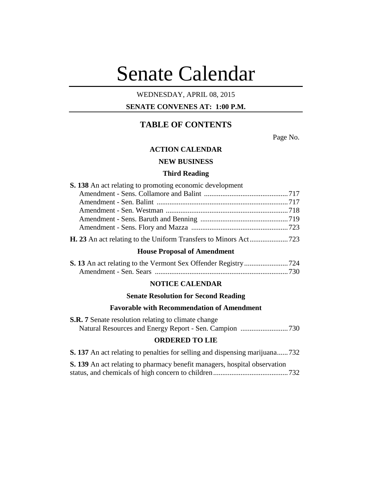# Senate Calendar

## WEDNESDAY, APRIL 08, 2015

## **SENATE CONVENES AT: 1:00 P.M.**

## **TABLE OF CONTENTS**

Page No.

#### **ACTION CALENDAR**

## **NEW BUSINESS**

#### **Third Reading**

| <b>S. 138</b> An act relating to promoting economic development |  |
|-----------------------------------------------------------------|--|
|                                                                 |  |
|                                                                 |  |
|                                                                 |  |
|                                                                 |  |
|                                                                 |  |
|                                                                 |  |

#### **House Proposal of Amendment**

## **NOTICE CALENDAR**

#### **Senate Resolution for Second Reading**

#### **Favorable with Recommendation of Amendment**

| <b>S.R. 7</b> Senate resolution relating to climate change |  |
|------------------------------------------------------------|--|
|                                                            |  |

## **ORDERED TO LIE**

**S. 137** An act relating to penalties for selling and dispensing marijuana......732

**S. 139** An act relating to pharmacy benefit managers, hospital observation status, and chemicals of high concern to children.........................................732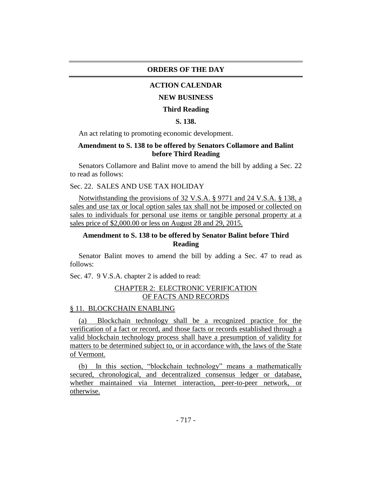#### **ORDERS OF THE DAY**

#### **ACTION CALENDAR**

#### **NEW BUSINESS**

#### **Third Reading**

## **S. 138.**

An act relating to promoting economic development.

## **Amendment to S. 138 to be offered by Senators Collamore and Balint before Third Reading**

Senators Collamore and Balint move to amend the bill by adding a Sec. 22 to read as follows:

## Sec. 22. SALES AND USE TAX HOLIDAY

Notwithstanding the provisions of 32 V.S.A. § 9771 and 24 V.S.A. § 138, a sales and use tax or local option sales tax shall not be imposed or collected on sales to individuals for personal use items or tangible personal property at a sales price of \$2,000.00 or less on August 28 and 29, 2015.

## **Amendment to S. 138 to be offered by Senator Balint before Third Reading**

Senator Balint moves to amend the bill by adding a Sec. 47 to read as follows:

Sec. 47. 9 V.S.A. chapter 2 is added to read:

#### CHAPTER 2: ELECTRONIC VERIFICATION OF FACTS AND RECORDS

#### § 11. BLOCKCHAIN ENABLING

(a) Blockchain technology shall be a recognized practice for the verification of a fact or record, and those facts or records established through a valid blockchain technology process shall have a presumption of validity for matters to be determined subject to, or in accordance with, the laws of the State of Vermont.

(b) In this section, "blockchain technology" means a mathematically secured, chronological, and decentralized consensus ledger or database, whether maintained via Internet interaction, peer-to-peer network, or otherwise.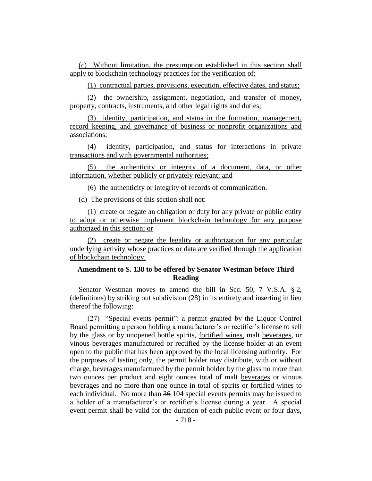(c) Without limitation, the presumption established in this section shall apply to blockchain technology practices for the verification of:

(1) contractual parties, provisions, execution, effective dates, and status;

(2) the ownership, assignment, negotiation, and transfer of money, property, contracts, instruments, and other legal rights and duties;

(3) identity, participation, and status in the formation, management, record keeping, and governance of business or nonprofit organizations and associations;

(4) identity, participation, and status for interactions in private transactions and with governmental authorities;

(5) the authenticity or integrity of a document, data, or other information, whether publicly or privately relevant; and

(6) the authenticity or integrity of records of communication.

(d) The provisions of this section shall not:

(1) create or negate an obligation or duty for any private or public entity to adopt or otherwise implement blockchain technology for any purpose authorized in this section; or

(2) create or negate the legality or authorization for any particular underlying activity whose practices or data are verified through the application of blockchain technology.

## **Amendment to S. 138 to be offered by Senator Westman before Third Reading**

Senator Westman moves to amend the bill in Sec. 50, 7 V.S.A. § 2, (definitions) by striking out subdivision (28) in its entirety and inserting in lieu thereof the following:

(27) "Special events permit": a permit granted by the Liquor Control Board permitting a person holding a manufacturer's or rectifier's license to sell by the glass or by unopened bottle spirits, fortified wines, malt beverages, or vinous beverages manufactured or rectified by the license holder at an event open to the public that has been approved by the local licensing authority. For the purposes of tasting only, the permit holder may distribute, with or without charge, beverages manufactured by the permit holder by the glass no more than two ounces per product and eight ounces total of malt beverages or vinous beverages and no more than one ounce in total of spirits or fortified wines to each individual. No more than 36 104 special events permits may be issued to a holder of a manufacturer's or rectifier's license during a year. A special event permit shall be valid for the duration of each public event or four days,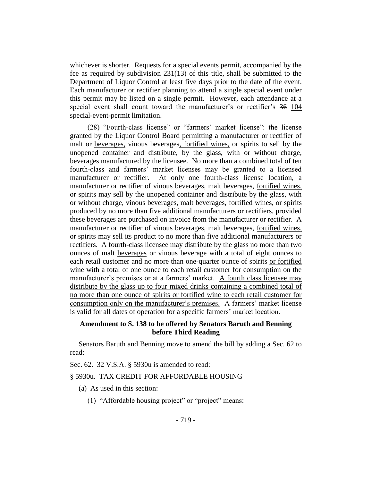whichever is shorter. Requests for a special events permit, accompanied by the fee as required by subdivision 231(13) of this title, shall be submitted to the Department of Liquor Control at least five days prior to the date of the event. Each manufacturer or rectifier planning to attend a single special event under this permit may be listed on a single permit. However, each attendance at a special event shall count toward the manufacturer's or rectifier's 36 104 special-event-permit limitation.

(28) "Fourth-class license" or "farmers' market license": the license granted by the Liquor Control Board permitting a manufacturer or rectifier of malt or beverages, vinous beverages, fortified wines, or spirits to sell by the unopened container and distribute, by the glass, with or without charge, beverages manufactured by the licensee. No more than a combined total of ten fourth-class and farmers' market licenses may be granted to a licensed manufacturer or rectifier. At only one fourth-class license location, a manufacturer or rectifier of vinous beverages, malt beverages, fortified wines, or spirits may sell by the unopened container and distribute by the glass, with or without charge, vinous beverages, malt beverages, fortified wines, or spirits produced by no more than five additional manufacturers or rectifiers, provided these beverages are purchased on invoice from the manufacturer or rectifier. A manufacturer or rectifier of vinous beverages, malt beverages, fortified wines, or spirits may sell its product to no more than five additional manufacturers or rectifiers. A fourth-class licensee may distribute by the glass no more than two ounces of malt beverages or vinous beverage with a total of eight ounces to each retail customer and no more than one-quarter ounce of spirits or fortified wine with a total of one ounce to each retail customer for consumption on the manufacturer's premises or at a farmers' market. A fourth class licensee may distribute by the glass up to four mixed drinks containing a combined total of no more than one ounce of spirits or fortified wine to each retail customer for consumption only on the manufacturer's premises. A farmers' market license is valid for all dates of operation for a specific farmers' market location.

## **Amendment to S. 138 to be offered by Senators Baruth and Benning before Third Reading**

Senators Baruth and Benning move to amend the bill by adding a Sec. 62 to read:

Sec. 62. 32 V.S.A. § 5930u is amended to read:

#### § 5930u. TAX CREDIT FOR AFFORDABLE HOUSING

- (a) As used in this section:
	- (1) "Affordable housing project" or "project" means: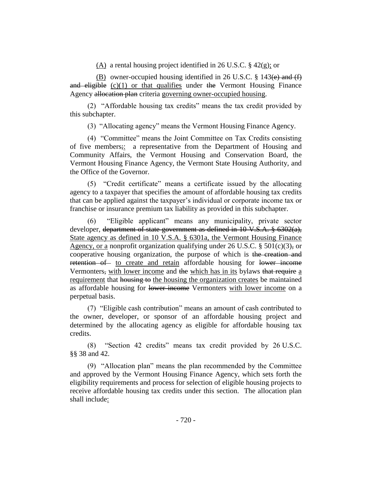(A) a rental housing project identified in 26 U.S.C. § 42(g); or

(B) owner-occupied housing identified in 26 U.S.C.  $\S$  143(e) and (f) and eligible  $(c)(1)$  or that qualifies under the Vermont Housing Finance Agency allocation plan criteria governing owner-occupied housing.

(2) "Affordable housing tax credits" means the tax credit provided by this subchapter.

(3) "Allocating agency" means the Vermont Housing Finance Agency.

(4) "Committee" means the Joint Committee on Tax Credits consisting of five members;: a representative from the Department of Housing and Community Affairs, the Vermont Housing and Conservation Board, the Vermont Housing Finance Agency, the Vermont State Housing Authority, and the Office of the Governor.

(5) "Credit certificate" means a certificate issued by the allocating agency to a taxpayer that specifies the amount of affordable housing tax credits that can be applied against the taxpayer's individual or corporate income tax or franchise or insurance premium tax liability as provided in this subchapter.

(6) "Eligible applicant" means any municipality, private sector developer, department of state government as defined in 10 V.S.A. § 6302(a), State agency as defined in 10 V.S.A. § 6301a, the Vermont Housing Finance Agency, or a nonprofit organization qualifying under 26 U.S.C. § 501 $(c)(3)$ , or cooperative housing organization, the purpose of which is the creation and retention of to create and retain affordable housing for lower income Vermonters, with lower income and the which has in its bylaws that require a requirement that housing to the housing the organization creates be maintained as affordable housing for lower income Vermonters with lower income on a perpetual basis.

(7) "Eligible cash contribution" means an amount of cash contributed to the owner, developer, or sponsor of an affordable housing project and determined by the allocating agency as eligible for affordable housing tax credits.

(8) "Section 42 credits" means tax credit provided by 26 U.S.C. §§ 38 and 42.

(9) "Allocation plan" means the plan recommended by the Committee and approved by the Vermont Housing Finance Agency, which sets forth the eligibility requirements and process for selection of eligible housing projects to receive affordable housing tax credits under this section. The allocation plan shall include: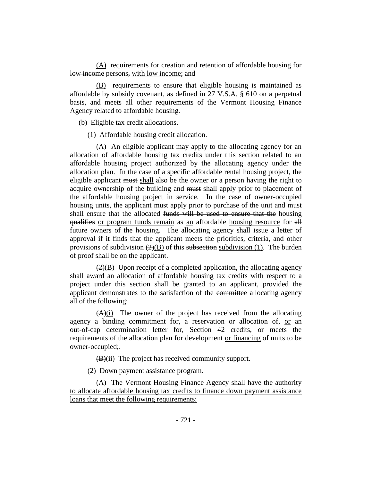(A) requirements for creation and retention of affordable housing for low income persons, with low income; and

(B) requirements to ensure that eligible housing is maintained as affordable by subsidy covenant, as defined in 27 V.S.A. § 610 on a perpetual basis, and meets all other requirements of the Vermont Housing Finance Agency related to affordable housing.

(b) Eligible tax credit allocations.

(1) Affordable housing credit allocation.

(A) An eligible applicant may apply to the allocating agency for an allocation of affordable housing tax credits under this section related to an affordable housing project authorized by the allocating agency under the allocation plan. In the case of a specific affordable rental housing project, the eligible applicant must shall also be the owner or a person having the right to acquire ownership of the building and must shall apply prior to placement of the affordable housing project in service. In the case of owner-occupied housing units, the applicant must apply prior to purchase of the unit and must shall ensure that the allocated funds will be used to ensure that the housing qualifies or program funds remain as an affordable housing resource for all future owners of the housing. The allocating agency shall issue a letter of approval if it finds that the applicant meets the priorities, criteria, and other provisions of subdivision  $(2)(B)$  of this subsection subdivision (1). The burden of proof shall be on the applicant.

 $\left(2\right)(B)$  Upon receipt of a completed application, the allocating agency shall award an allocation of affordable housing tax credits with respect to a project under this section shall be granted to an applicant, provided the applicant demonstrates to the satisfaction of the committee allocating agency all of the following:

 $(A)(i)$  The owner of the project has received from the allocating agency a binding commitment for, a reservation or allocation of, or an out-of-cap determination letter for, Section 42 credits, or meets the requirements of the allocation plan for development or financing of units to be owner-occupied;.

(B)(ii) The project has received community support.

(2) Down payment assistance program.

(A) The Vermont Housing Finance Agency shall have the authority to allocate affordable housing tax credits to finance down payment assistance loans that meet the following requirements: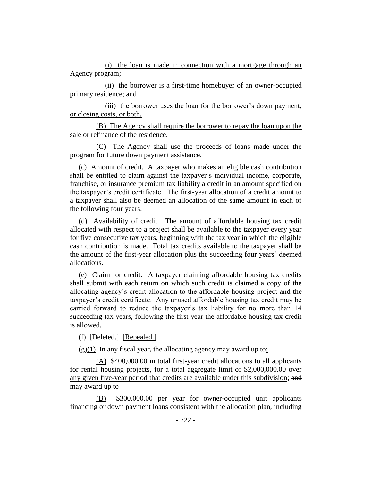(i) the loan is made in connection with a mortgage through an Agency program;

(ii) the borrower is a first-time homebuyer of an owner-occupied primary residence; and

(iii) the borrower uses the loan for the borrower's down payment, or closing costs, or both.

(B) The Agency shall require the borrower to repay the loan upon the sale or refinance of the residence.

(C) The Agency shall use the proceeds of loans made under the program for future down payment assistance.

(c) Amount of credit. A taxpayer who makes an eligible cash contribution shall be entitled to claim against the taxpayer's individual income, corporate, franchise, or insurance premium tax liability a credit in an amount specified on the taxpayer's credit certificate. The first-year allocation of a credit amount to a taxpayer shall also be deemed an allocation of the same amount in each of the following four years.

(d) Availability of credit. The amount of affordable housing tax credit allocated with respect to a project shall be available to the taxpayer every year for five consecutive tax years, beginning with the tax year in which the eligible cash contribution is made. Total tax credits available to the taxpayer shall be the amount of the first-year allocation plus the succeeding four years' deemed allocations.

(e) Claim for credit. A taxpayer claiming affordable housing tax credits shall submit with each return on which such credit is claimed a copy of the allocating agency's credit allocation to the affordable housing project and the taxpayer's credit certificate. Any unused affordable housing tax credit may be carried forward to reduce the taxpayer's tax liability for no more than 14 succeeding tax years, following the first year the affordable housing tax credit is allowed.

(f) [Deleted.] [Repealed.]

 $(g)(1)$  In any fiscal year, the allocating agency may award up to:

(A) \$400,000.00 in total first-year credit allocations to all applicants for rental housing projects, for a total aggregate limit of \$2,000,000.00 over any given five-year period that credits are available under this subdivision; and may award up to

(B) \$300,000.00 per year for owner-occupied unit applicants financing or down payment loans consistent with the allocation plan, including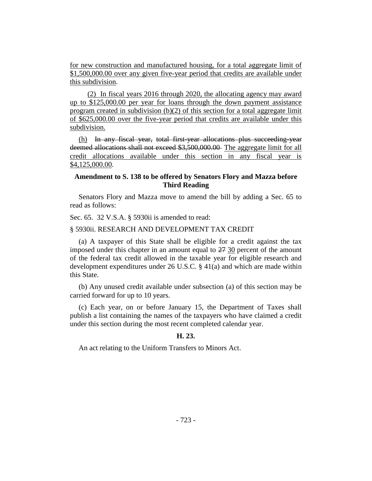for new construction and manufactured housing, for a total aggregate limit of \$1,500,000.00 over any given five-year period that credits are available under this subdivision.

(2) In fiscal years 2016 through 2020, the allocating agency may award up to \$125,000.00 per year for loans through the down payment assistance program created in subdivision  $(b)(2)$  of this section for a total aggregate limit of \$625,000.00 over the five-year period that credits are available under this subdivision.

(h) In any fiscal year, total first-year allocations plus succeeding-year deemed allocations shall not exceed \$3,500,000.00 The aggregate limit for all credit allocations available under this section in any fiscal year is \$4,125,000.00.

## **Amendment to S. 138 to be offered by Senators Flory and Mazza before Third Reading**

Senators Flory and Mazza move to amend the bill by adding a Sec. 65 to read as follows:

Sec. 65. 32 V.S.A. § 5930ii is amended to read:

#### § 5930ii. RESEARCH AND DEVELOPMENT TAX CREDIT

(a) A taxpayer of this State shall be eligible for a credit against the tax imposed under this chapter in an amount equal to 27 30 percent of the amount of the federal tax credit allowed in the taxable year for eligible research and development expenditures under 26 U.S.C. § 41(a) and which are made within this State.

(b) Any unused credit available under subsection (a) of this section may be carried forward for up to 10 years.

(c) Each year, on or before January 15, the Department of Taxes shall publish a list containing the names of the taxpayers who have claimed a credit under this section during the most recent completed calendar year.

#### **H. 23.**

An act relating to the Uniform Transfers to Minors Act.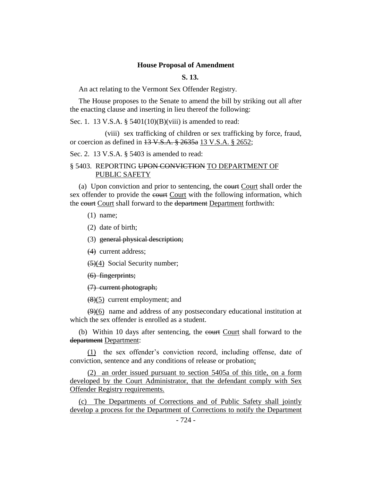#### **House Proposal of Amendment**

**S. 13.**

An act relating to the Vermont Sex Offender Registry.

The House proposes to the Senate to amend the bill by striking out all after the enacting clause and inserting in lieu thereof the following:

Sec. 1. 13 V.S.A. § 5401(10)(B)(viii) is amended to read:

(viii) sex trafficking of children or sex trafficking by force, fraud, or coercion as defined in 13 V.S.A. § 2635a 13 V.S.A. § 2652;

Sec. 2. 13 V.S.A. § 5403 is amended to read:

## § 5403. REPORTING UPON CONVICTION TO DEPARTMENT OF PUBLIC SAFETY

(a) Upon conviction and prior to sentencing, the court Court shall order the sex offender to provide the court Court with the following information, which the court Court shall forward to the department Department forthwith:

(1) name;

(2) date of birth;

(3) general physical description;

(4) current address;

 $(5)(4)$  Social Security number;

(6) fingerprints;

(7) current photograph;

 $(8)(5)$  current employment; and

 $(9)(6)$  name and address of any postsecondary educational institution at which the sex offender is enrolled as a student.

(b) Within 10 days after sentencing, the court Court shall forward to the department Department:

(1) the sex offender's conviction record, including offense, date of conviction, sentence and any conditions of release or probation;

(2) an order issued pursuant to section 5405a of this title, on a form developed by the Court Administrator, that the defendant comply with Sex Offender Registry requirements.

(c) The Departments of Corrections and of Public Safety shall jointly develop a process for the Department of Corrections to notify the Department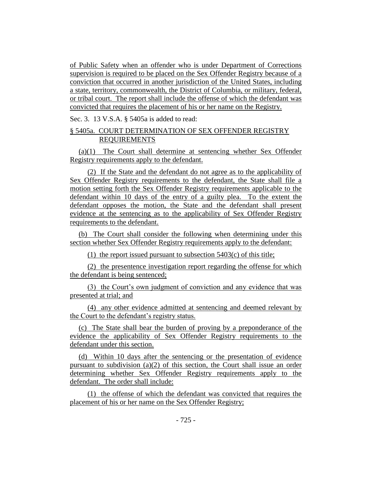of Public Safety when an offender who is under Department of Corrections supervision is required to be placed on the Sex Offender Registry because of a conviction that occurred in another jurisdiction of the United States, including a state, territory, commonwealth, the District of Columbia, or military, federal, or tribal court. The report shall include the offense of which the defendant was convicted that requires the placement of his or her name on the Registry.

Sec. 3. 13 V.S.A. § 5405a is added to read:

## § 5405a. COURT DETERMINATION OF SEX OFFENDER REGISTRY REQUIREMENTS

(a)(1) The Court shall determine at sentencing whether Sex Offender Registry requirements apply to the defendant.

(2) If the State and the defendant do not agree as to the applicability of Sex Offender Registry requirements to the defendant, the State shall file a motion setting forth the Sex Offender Registry requirements applicable to the defendant within 10 days of the entry of a guilty plea. To the extent the defendant opposes the motion, the State and the defendant shall present evidence at the sentencing as to the applicability of Sex Offender Registry requirements to the defendant.

(b) The Court shall consider the following when determining under this section whether Sex Offender Registry requirements apply to the defendant:

(1) the report issued pursuant to subsection 5403(c) of this title;

(2) the presentence investigation report regarding the offense for which the defendant is being sentenced;

(3) the Court's own judgment of conviction and any evidence that was presented at trial; and

(4) any other evidence admitted at sentencing and deemed relevant by the Court to the defendant's registry status.

(c) The State shall bear the burden of proving by a preponderance of the evidence the applicability of Sex Offender Registry requirements to the defendant under this section.

(d) Within 10 days after the sentencing or the presentation of evidence pursuant to subdivision  $(a)(2)$  of this section, the Court shall issue an order determining whether Sex Offender Registry requirements apply to the defendant. The order shall include:

(1) the offense of which the defendant was convicted that requires the placement of his or her name on the Sex Offender Registry;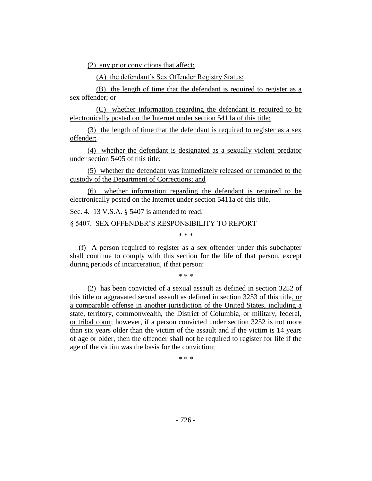(2) any prior convictions that affect:

(A) the defendant's Sex Offender Registry Status;

(B) the length of time that the defendant is required to register as a sex offender; or

(C) whether information regarding the defendant is required to be electronically posted on the Internet under section 5411a of this title;

(3) the length of time that the defendant is required to register as a sex offender;

(4) whether the defendant is designated as a sexually violent predator under section 5405 of this title;

(5) whether the defendant was immediately released or remanded to the custody of the Department of Corrections; and

(6) whether information regarding the defendant is required to be electronically posted on the Internet under section 5411a of this title.

Sec. 4. 13 V.S.A. § 5407 is amended to read:

§ 5407. SEX OFFENDER'S RESPONSIBILITY TO REPORT

\* \* \*

(f) A person required to register as a sex offender under this subchapter shall continue to comply with this section for the life of that person, except during periods of incarceration, if that person:

\* \* \*

(2) has been convicted of a sexual assault as defined in section 3252 of this title or aggravated sexual assault as defined in section 3253 of this title, or a comparable offense in another jurisdiction of the United States, including a state, territory, commonwealth, the District of Columbia, or military, federal, or tribal court; however, if a person convicted under section 3252 is not more than six years older than the victim of the assault and if the victim is 14 years of age or older, then the offender shall not be required to register for life if the age of the victim was the basis for the conviction;

\* \* \*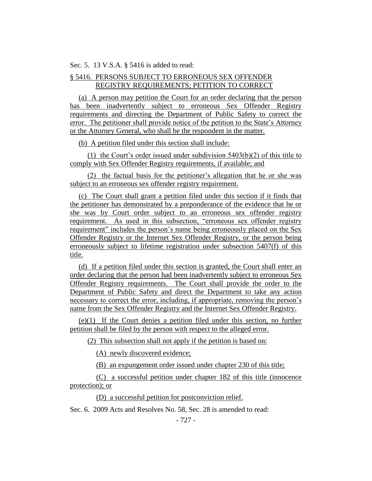Sec. 5. 13 V.S.A. § 5416 is added to read:

## § 5416. PERSONS SUBJECT TO ERRONEOUS SEX OFFENDER REGISTRY REQUIREMENTS; PETITION TO CORRECT

(a) A person may petition the Court for an order declaring that the person has been inadvertently subject to erroneous Sex Offender Registry requirements and directing the Department of Public Safety to correct the error. The petitioner shall provide notice of the petition to the State's Attorney or the Attorney General, who shall be the respondent in the matter.

(b) A petition filed under this section shall include:

(1) the Court's order issued under subdivision 5403(b)(2) of this title to comply with Sex Offender Registry requirements, if available; and

(2) the factual basis for the petitioner's allegation that he or she was subject to an erroneous sex offender registry requirement.

(c) The Court shall grant a petition filed under this section if it finds that the petitioner has demonstrated by a preponderance of the evidence that he or she was by Court order subject to an erroneous sex offender registry requirement. As used in this subsection, "erroneous sex offender registry requirement" includes the person's name being erroneously placed on the Sex Offender Registry or the Internet Sex Offender Registry, or the person being erroneously subject to lifetime registration under subsection 5407(f) of this title.

(d) If a petition filed under this section is granted, the Court shall enter an order declaring that the person had been inadvertently subject to erroneous Sex Offender Registry requirements. The Court shall provide the order to the Department of Public Safety and direct the Department to take any action necessary to correct the error, including, if appropriate, removing the person's name from the Sex Offender Registry and the Internet Sex Offender Registry.

(e)(1) If the Court denies a petition filed under this section, no further petition shall be filed by the person with respect to the alleged error.

(2) This subsection shall not apply if the petition is based on:

(A) newly discovered evidence;

(B) an expungement order issued under chapter 230 of this title;

(C) a successful petition under chapter 182 of this title (innocence protection); or

(D) a successful petition for postconviction relief.

Sec. 6. 2009 Acts and Resolves No. 58, Sec. 28 is amended to read: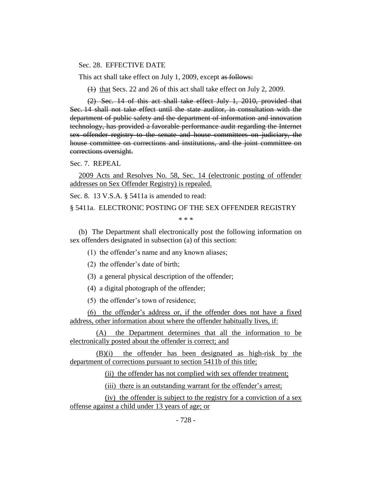#### Sec. 28. EFFECTIVE DATE

This act shall take effect on July 1, 2009, except as follows:

(1) that Secs. 22 and 26 of this act shall take effect on July 2, 2009.

(2) Sec. 14 of this act shall take effect July 1, 2010, provided that Sec. 14 shall not take effect until the state auditor, in consultation with the department of public safety and the department of information and innovation technology, has provided a favorable performance audit regarding the Internet sex offender registry to the senate and house committees on judiciary, the house committee on corrections and institutions, and the joint committee on corrections oversight.

Sec. 7. REPEAL

2009 Acts and Resolves No. 58, Sec. 14 (electronic posting of offender addresses on Sex Offender Registry) is repealed.

Sec. 8. 13 V.S.A. § 5411a is amended to read:

§ 5411a. ELECTRONIC POSTING OF THE SEX OFFENDER REGISTRY

\* \* \*

(b) The Department shall electronically post the following information on sex offenders designated in subsection (a) of this section:

(1) the offender's name and any known aliases;

(2) the offender's date of birth;

(3) a general physical description of the offender;

(4) a digital photograph of the offender;

(5) the offender's town of residence;

(6) the offender's address or, if the offender does not have a fixed address, other information about where the offender habitually lives, if:

(A) the Department determines that all the information to be electronically posted about the offender is correct; and

(B)(i) the offender has been designated as high-risk by the department of corrections pursuant to section 5411b of this title;

(ii) the offender has not complied with sex offender treatment;

(iii) there is an outstanding warrant for the offender's arrest;

(iv) the offender is subject to the registry for a conviction of a sex offense against a child under 13 years of age; or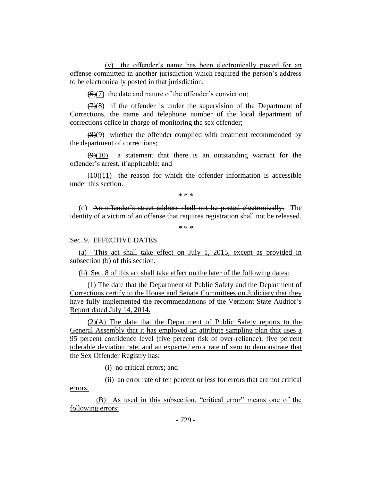(v) the offender's name has been electronically posted for an offense committed in another jurisdiction which required the person's address to be electronically posted in that jurisdiction;

 $(6)(7)$  the date and nature of the offender's conviction;

 $(7)(8)$  if the offender is under the supervision of the Department of Corrections, the name and telephone number of the local department of corrections office in charge of monitoring the sex offender;

 $(8)(9)$  whether the offender complied with treatment recommended by the department of corrections;

 $(9)(10)$  a statement that there is an outstanding warrant for the offender's arrest, if applicable; and

 $(10)(11)$  the reason for which the offender information is accessible under this section.

\* \* \*

(d) An offender's street address shall not be posted electronically. The identity of a victim of an offense that requires registration shall not be released.

\* \* \*

## Sec. 9. EFFECTIVE DATES

(a) This act shall take effect on July 1, 2015, except as provided in subsection (b) of this section.

(b) Sec. 8 of this act shall take effect on the later of the following dates:

(1) The date that the Department of Public Safety and the Department of Corrections certify to the House and Senate Committees on Judiciary that they have fully implemented the recommendations of the Vermont State Auditor's Report dated July 14, 2014.

(2)(A) The date that the Department of Public Safety reports to the General Assembly that it has employed an attribute sampling plan that uses a 95 percent confidence level (five percent risk of over-reliance), five percent tolerable deviation rate, and an expected error rate of zero to demonstrate that the Sex Offender Registry has:

(i) no critical errors; and

(ii) an error rate of ten percent or less for errors that are not critical errors.

(B) As used in this subsection, "critical error" means one of the following errors: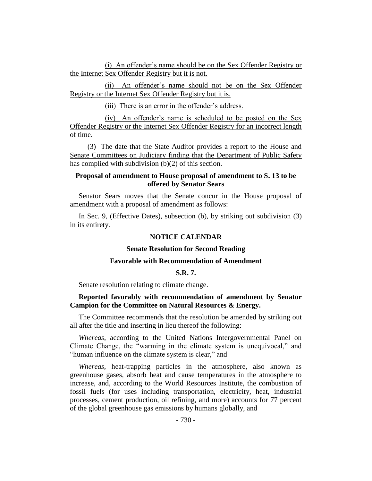(i) An offender's name should be on the Sex Offender Registry or the Internet Sex Offender Registry but it is not.

(ii) An offender's name should not be on the Sex Offender Registry or the Internet Sex Offender Registry but it is.

(iii) There is an error in the offender's address.

(iv) An offender's name is scheduled to be posted on the Sex Offender Registry or the Internet Sex Offender Registry for an incorrect length of time.

(3) The date that the State Auditor provides a report to the House and Senate Committees on Judiciary finding that the Department of Public Safety has complied with subdivision (b)(2) of this section.

## **Proposal of amendment to House proposal of amendment to S. 13 to be offered by Senator Sears**

Senator Sears moves that the Senate concur in the House proposal of amendment with a proposal of amendment as follows:

In Sec. 9, (Effective Dates), subsection (b), by striking out subdivision (3) in its entirety.

#### **NOTICE CALENDAR**

#### **Senate Resolution for Second Reading**

#### **Favorable with Recommendation of Amendment**

#### **S.R. 7.**

Senate resolution relating to climate change.

## **Reported favorably with recommendation of amendment by Senator Campion for the Committee on Natural Resources & Energy.**

The Committee recommends that the resolution be amended by striking out all after the title and inserting in lieu thereof the following:

*Whereas*, according to the United Nations Intergovernmental Panel on Climate Change, the "warming in the climate system is unequivocal," and "human influence on the climate system is clear," and

*Whereas*, heat-trapping particles in the atmosphere, also known as greenhouse gases, absorb heat and cause temperatures in the atmosphere to increase, and, according to the World Resources Institute, the combustion of fossil fuels (for uses including transportation, electricity, heat, industrial processes, cement production, oil refining, and more) accounts for 77 percent of the global greenhouse gas emissions by humans globally, and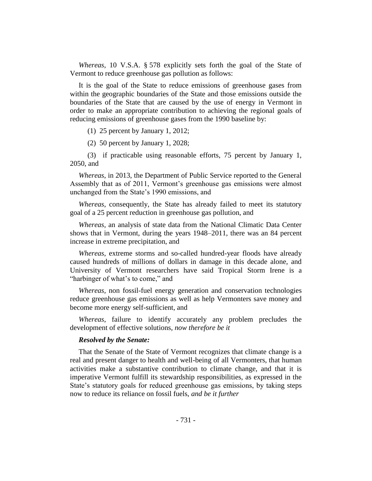*Whereas*, 10 V.S.A. § 578 explicitly sets forth the goal of the State of Vermont to reduce greenhouse gas pollution as follows:

It is the goal of the State to reduce emissions of greenhouse gases from within the geographic boundaries of the State and those emissions outside the boundaries of the State that are caused by the use of energy in Vermont in order to make an appropriate contribution to achieving the regional goals of reducing emissions of greenhouse gases from the 1990 baseline by:

(1) 25 percent by January 1, 2012;

(2) 50 percent by January 1, 2028;

(3) if practicable using reasonable efforts, 75 percent by January 1, 2050, and

*Whereas*, in 2013, the Department of Public Service reported to the General Assembly that as of 2011, Vermont's greenhouse gas emissions were almost unchanged from the State's 1990 emissions, and

*Whereas*, consequently, the State has already failed to meet its statutory goal of a 25 percent reduction in greenhouse gas pollution, and

*Whereas,* an analysis of state data from the National Climatic Data Center shows that in Vermont, during the years 1948–2011, there was an 84 percent increase in extreme precipitation, and

*Whereas*, extreme storms and so-called hundred-year floods have already caused hundreds of millions of dollars in damage in this decade alone, and University of Vermont researchers have said Tropical Storm Irene is a "harbinger of what's to come," and

*Whereas,* non fossil-fuel energy generation and conservation technologies reduce greenhouse gas emissions as well as help Vermonters save money and become more energy self-sufficient, and

*Whereas*, failure to identify accurately any problem precludes the development of effective solutions, *now therefore be it*

#### *Resolved by the Senate:*

That the Senate of the State of Vermont recognizes that climate change is a real and present danger to health and well-being of all Vermonters, that human activities make a substantive contribution to climate change, and that it is imperative Vermont fulfill its stewardship responsibilities, as expressed in the State's statutory goals for reduced greenhouse gas emissions, by taking steps now to reduce its reliance on fossil fuels, *and be it further*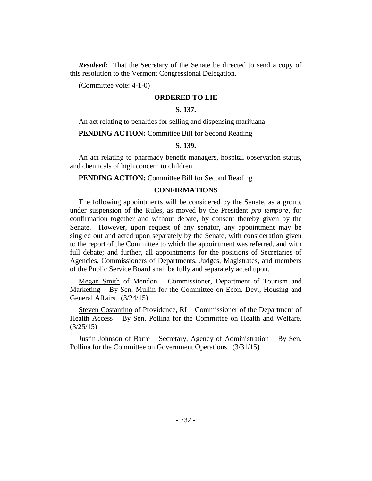*Resolved:* That the Secretary of the Senate be directed to send a copy of this resolution to the Vermont Congressional Delegation.

(Committee vote: 4-1-0)

#### **ORDERED TO LIE**

## **S. 137.**

An act relating to penalties for selling and dispensing marijuana.

**PENDING ACTION:** Committee Bill for Second Reading

#### **S. 139.**

An act relating to pharmacy benefit managers, hospital observation status, and chemicals of high concern to children.

**PENDING ACTION:** Committee Bill for Second Reading

## **CONFIRMATIONS**

The following appointments will be considered by the Senate, as a group, under suspension of the Rules, as moved by the President *pro tempore,* for confirmation together and without debate, by consent thereby given by the Senate. However, upon request of any senator, any appointment may be singled out and acted upon separately by the Senate, with consideration given to the report of the Committee to which the appointment was referred, and with full debate; and further, all appointments for the positions of Secretaries of Agencies, Commissioners of Departments, Judges, Magistrates, and members of the Public Service Board shall be fully and separately acted upon.

Megan Smith of Mendon – Commissioner, Department of Tourism and Marketing – By Sen. Mullin for the Committee on Econ. Dev., Housing and General Affairs. (3/24/15)

Steven Costantino of Providence, RI – Commissioner of the Department of Health Access – By Sen. Pollina for the Committee on Health and Welfare. (3/25/15)

Justin Johnson of Barre – Secretary, Agency of Administration – By Sen. Pollina for the Committee on Government Operations. (3/31/15)